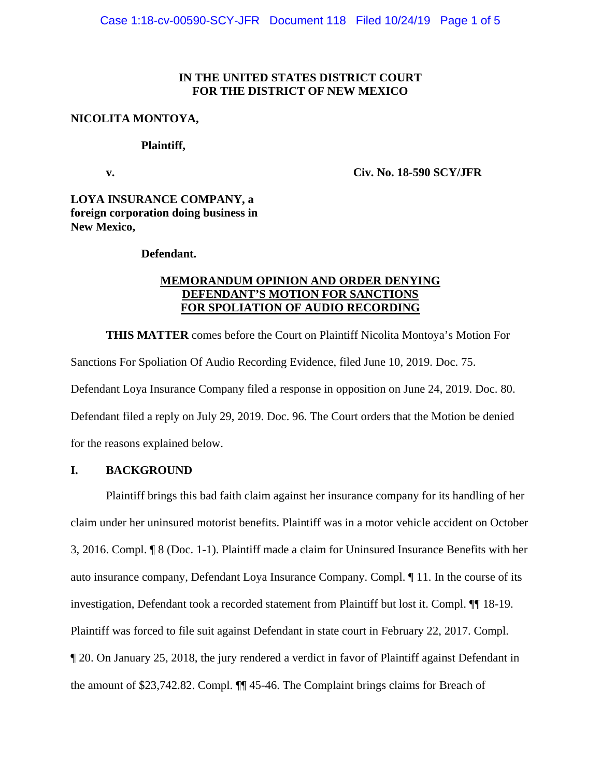## **IN THE UNITED STATES DISTRICT COURT FOR THE DISTRICT OF NEW MEXICO**

### **NICOLITA MONTOYA,**

#### **Plaintiff,**

 **v. Civ. No. 18-590 SCY/JFR** 

**LOYA INSURANCE COMPANY, a foreign corporation doing business in New Mexico,** 

### **Defendant.**

# **MEMORANDUM OPINION AND ORDER DENYING DEFENDANT'S MOTION FOR SANCTIONS FOR SPOLIATION OF AUDIO RECORDING**

**THIS MATTER** comes before the Court on Plaintiff Nicolita Montoya's Motion For Sanctions For Spoliation Of Audio Recording Evidence, filed June 10, 2019. Doc. 75. Defendant Loya Insurance Company filed a response in opposition on June 24, 2019. Doc. 80. Defendant filed a reply on July 29, 2019. Doc. 96. The Court orders that the Motion be denied for the reasons explained below.

# **I. BACKGROUND**

Plaintiff brings this bad faith claim against her insurance company for its handling of her claim under her uninsured motorist benefits. Plaintiff was in a motor vehicle accident on October 3, 2016. Compl. ¶ 8 (Doc. 1-1). Plaintiff made a claim for Uninsured Insurance Benefits with her auto insurance company, Defendant Loya Insurance Company. Compl. ¶ 11. In the course of its investigation, Defendant took a recorded statement from Plaintiff but lost it. Compl. ¶¶ 18-19. Plaintiff was forced to file suit against Defendant in state court in February 22, 2017. Compl. ¶ 20. On January 25, 2018, the jury rendered a verdict in favor of Plaintiff against Defendant in the amount of \$23,742.82. Compl. ¶¶ 45-46. The Complaint brings claims for Breach of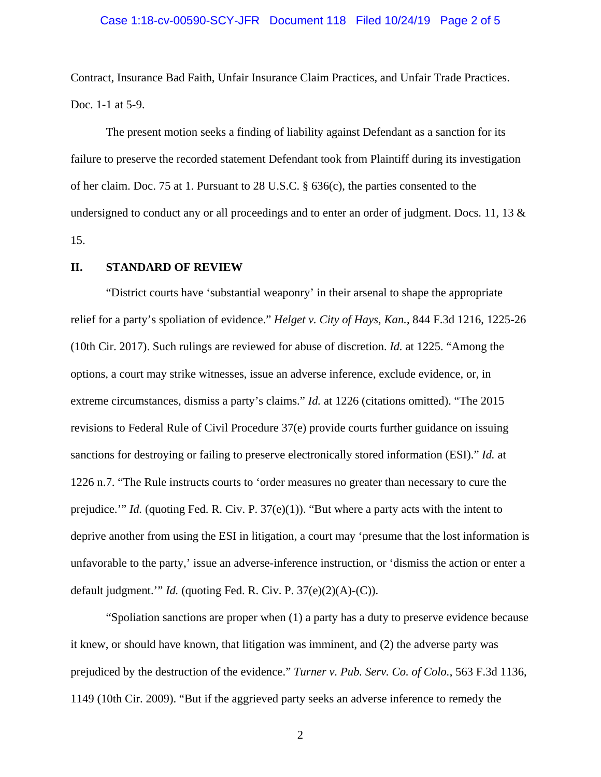#### Case 1:18-cv-00590-SCY-JFR Document 118 Filed 10/24/19 Page 2 of 5

Contract, Insurance Bad Faith, Unfair Insurance Claim Practices, and Unfair Trade Practices. Doc. 1-1 at 5-9.

The present motion seeks a finding of liability against Defendant as a sanction for its failure to preserve the recorded statement Defendant took from Plaintiff during its investigation of her claim. Doc. 75 at 1. Pursuant to 28 U.S.C. § 636(c), the parties consented to the undersigned to conduct any or all proceedings and to enter an order of judgment. Docs. 11, 13  $\&$ 15.

#### **II. STANDARD OF REVIEW**

"District courts have 'substantial weaponry' in their arsenal to shape the appropriate relief for a party's spoliation of evidence." *Helget v. City of Hays, Kan.*, 844 F.3d 1216, 1225-26 (10th Cir. 2017). Such rulings are reviewed for abuse of discretion. *Id.* at 1225. "Among the options, a court may strike witnesses, issue an adverse inference, exclude evidence, or, in extreme circumstances, dismiss a party's claims." *Id.* at 1226 (citations omitted). "The 2015 revisions to Federal Rule of Civil Procedure 37(e) provide courts further guidance on issuing sanctions for destroying or failing to preserve electronically stored information (ESI)." *Id.* at 1226 n.7. "The Rule instructs courts to 'order measures no greater than necessary to cure the prejudice.'" *Id.* (quoting Fed. R. Civ. P. 37(e)(1)). "But where a party acts with the intent to deprive another from using the ESI in litigation, a court may 'presume that the lost information is unfavorable to the party,' issue an adverse-inference instruction, or 'dismiss the action or enter a default judgment.'" *Id.* (quoting Fed. R. Civ. P. 37(e)(2)(A)-(C)).

"Spoliation sanctions are proper when (1) a party has a duty to preserve evidence because it knew, or should have known, that litigation was imminent, and (2) the adverse party was prejudiced by the destruction of the evidence." *Turner v. Pub. Serv. Co. of Colo.*, 563 F.3d 1136, 1149 (10th Cir. 2009). "But if the aggrieved party seeks an adverse inference to remedy the

2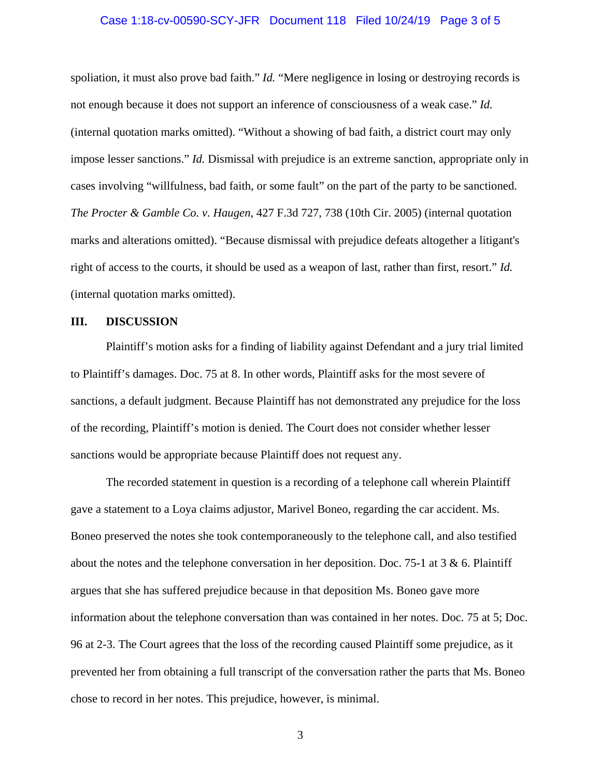#### Case 1:18-cv-00590-SCY-JFR Document 118 Filed 10/24/19 Page 3 of 5

spoliation, it must also prove bad faith." *Id.* "Mere negligence in losing or destroying records is not enough because it does not support an inference of consciousness of a weak case." *Id.* (internal quotation marks omitted). "Without a showing of bad faith, a district court may only impose lesser sanctions." *Id.* Dismissal with prejudice is an extreme sanction, appropriate only in cases involving "willfulness, bad faith, or some fault" on the part of the party to be sanctioned. *The Procter & Gamble Co. v. Haugen*, 427 F.3d 727, 738 (10th Cir. 2005) (internal quotation marks and alterations omitted). "Because dismissal with prejudice defeats altogether a litigant's right of access to the courts, it should be used as a weapon of last, rather than first, resort." *Id.* (internal quotation marks omitted).

#### **III. DISCUSSION**

Plaintiff's motion asks for a finding of liability against Defendant and a jury trial limited to Plaintiff's damages. Doc. 75 at 8. In other words, Plaintiff asks for the most severe of sanctions, a default judgment. Because Plaintiff has not demonstrated any prejudice for the loss of the recording, Plaintiff's motion is denied. The Court does not consider whether lesser sanctions would be appropriate because Plaintiff does not request any.

The recorded statement in question is a recording of a telephone call wherein Plaintiff gave a statement to a Loya claims adjustor, Marivel Boneo, regarding the car accident. Ms. Boneo preserved the notes she took contemporaneously to the telephone call, and also testified about the notes and the telephone conversation in her deposition. Doc. 75-1 at 3 & 6. Plaintiff argues that she has suffered prejudice because in that deposition Ms. Boneo gave more information about the telephone conversation than was contained in her notes. Doc. 75 at 5; Doc. 96 at 2-3. The Court agrees that the loss of the recording caused Plaintiff some prejudice, as it prevented her from obtaining a full transcript of the conversation rather the parts that Ms. Boneo chose to record in her notes. This prejudice, however, is minimal.

3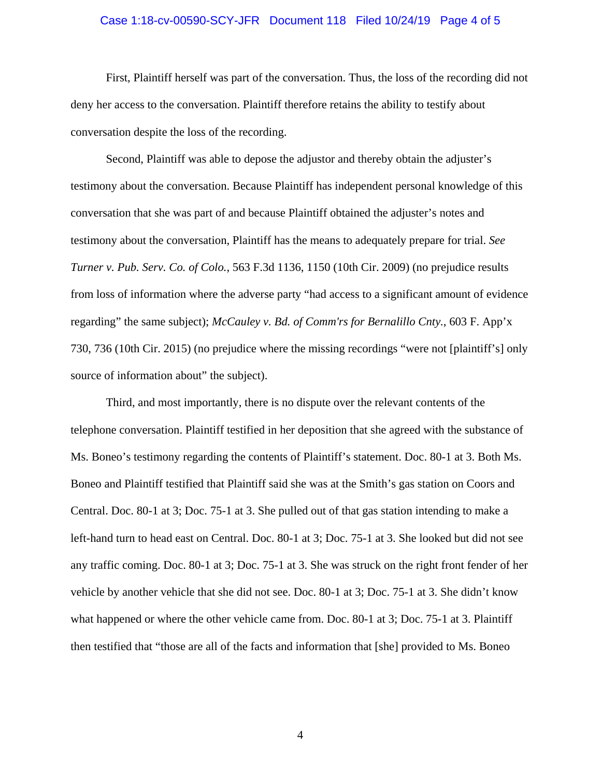#### Case 1:18-cv-00590-SCY-JFR Document 118 Filed 10/24/19 Page 4 of 5

First, Plaintiff herself was part of the conversation. Thus, the loss of the recording did not deny her access to the conversation. Plaintiff therefore retains the ability to testify about conversation despite the loss of the recording.

Second, Plaintiff was able to depose the adjustor and thereby obtain the adjuster's testimony about the conversation. Because Plaintiff has independent personal knowledge of this conversation that she was part of and because Plaintiff obtained the adjuster's notes and testimony about the conversation, Plaintiff has the means to adequately prepare for trial. *See Turner v. Pub. Serv. Co. of Colo.*, 563 F.3d 1136, 1150 (10th Cir. 2009) (no prejudice results from loss of information where the adverse party "had access to a significant amount of evidence regarding" the same subject); *McCauley v. Bd. of Comm'rs for Bernalillo Cnty.*, 603 F. App'x 730, 736 (10th Cir. 2015) (no prejudice where the missing recordings "were not [plaintiff's] only source of information about" the subject).

Third, and most importantly, there is no dispute over the relevant contents of the telephone conversation. Plaintiff testified in her deposition that she agreed with the substance of Ms. Boneo's testimony regarding the contents of Plaintiff's statement. Doc. 80-1 at 3. Both Ms. Boneo and Plaintiff testified that Plaintiff said she was at the Smith's gas station on Coors and Central. Doc. 80-1 at 3; Doc. 75-1 at 3. She pulled out of that gas station intending to make a left-hand turn to head east on Central. Doc. 80-1 at 3; Doc. 75-1 at 3. She looked but did not see any traffic coming. Doc. 80-1 at 3; Doc. 75-1 at 3. She was struck on the right front fender of her vehicle by another vehicle that she did not see. Doc. 80-1 at 3; Doc. 75-1 at 3. She didn't know what happened or where the other vehicle came from. Doc. 80-1 at 3; Doc. 75-1 at 3. Plaintiff then testified that "those are all of the facts and information that [she] provided to Ms. Boneo

4